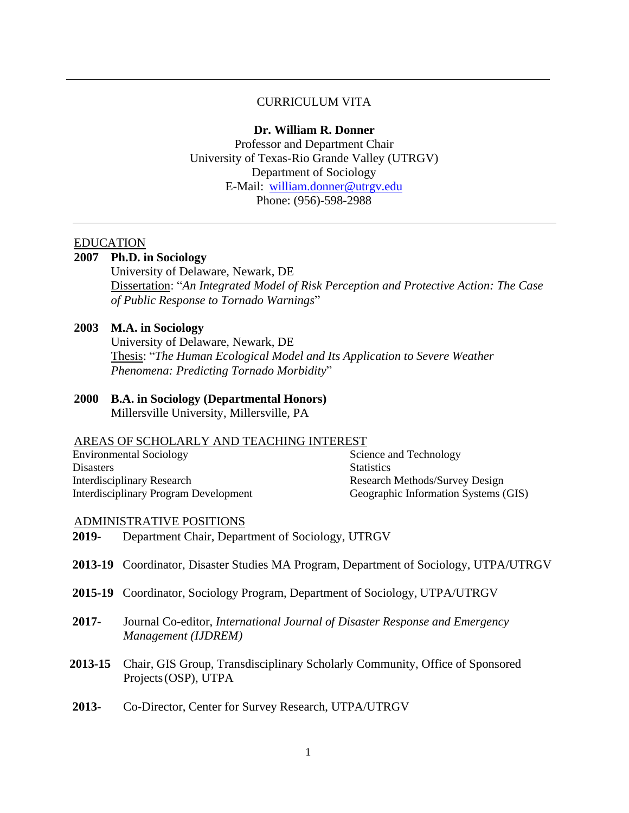# CURRICULUM VITA

#### **Dr. William R. Donner**

Professor and Department Chair University of Texas-Rio Grande Valley (UTRGV) Department of Sociology E-Mail: [william.donner@utrgv.edu](mailto:william.donner@utrgv.edu) Phone: (956)-598-2988

# **EDUCATION**

# **2007 Ph.D. in Sociology**

University of Delaware, Newark, DE Dissertation: "*An Integrated Model of Risk Perception and Protective Action: The Case of Public Response to Tornado Warnings*"

#### **2003 M.A. in Sociology**

University of Delaware, Newark, DE Thesis: "*The Human Ecological Model and Its Application to Severe Weather Phenomena: Predicting Tornado Morbidity*"

# **2000 B.A. in Sociology (Departmental Honors)**

Millersville University, Millersville, PA

#### AREAS OF SCHOLARLY AND TEACHING INTEREST

| <b>Environmental Sociology</b>        | Science and Technology               |
|---------------------------------------|--------------------------------------|
| <b>Disasters</b>                      | <b>Statistics</b>                    |
| Interdisciplinary Research            | Research Methods/Survey Design       |
| Interdisciplinary Program Development | Geographic Information Systems (GIS) |

#### ADMINISTRATIVE POSITIONS

- **2019-** Department Chair, Department of Sociology, UTRGV
- **2013-19** Coordinator, Disaster Studies MA Program, Department of Sociology, UTPA/UTRGV
- **2015-19** Coordinator, Sociology Program, Department of Sociology, UTPA/UTRGV
- **2017-** Journal Co-editor, *International Journal of Disaster Response and Emergency Management (IJDREM)*
- **2013-15** Chair, GIS Group, Transdisciplinary Scholarly Community, Office of Sponsored Projects (OSP), UTPA
- **2013-** Co-Director, Center for Survey Research, UTPA/UTRGV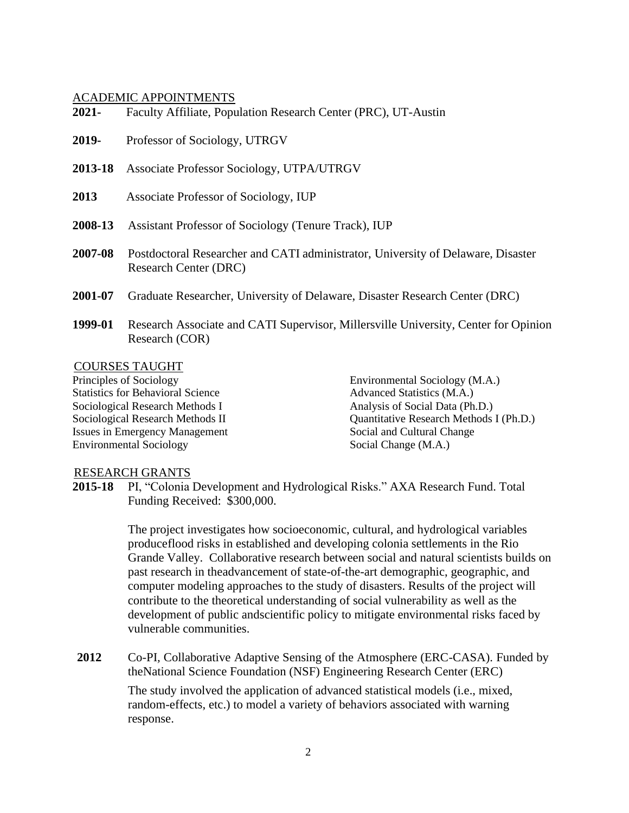## ACADEMIC APPOINTMENTS

| 2021-   | Faculty Affiliate, Population Research Center (PRC), UT-Austin                                                   |
|---------|------------------------------------------------------------------------------------------------------------------|
| 2019-   | Professor of Sociology, UTRGV                                                                                    |
| 2013-18 | Associate Professor Sociology, UTPA/UTRGV                                                                        |
| 2013    | Associate Professor of Sociology, IUP                                                                            |
| 2008-13 | Assistant Professor of Sociology (Tenure Track), IUP                                                             |
| 2007-08 | Postdoctoral Researcher and CATI administrator, University of Delaware, Disaster<br><b>Research Center (DRC)</b> |
| 2001-07 | Graduate Researcher, University of Delaware, Disaster Research Center (DRC)                                      |
| 1999-01 | Research Associate and CATI Supervisor, Millersville University, Center for Opinion<br>Research (COR)            |

## COURSES TAUGHT

Principles of Sociology Statistics for Behavioral Science Sociological Research Methods I Sociological Research Methods II Issues in Emergency Management Environmental Sociology

Environmental Sociology (M.A.) Advanced Statistics (M.A.) Analysis of Social Data (Ph.D.) Quantitative Research Methods I (Ph.D.) Social and Cultural Change Social Change (M.A.)

# RESEARCH GRANTS

**2015-18** PI, "Colonia Development and Hydrological Risks." AXA Research Fund. Total Funding Received: \$300,000.

> The project investigates how socioeconomic, cultural, and hydrological variables produceflood risks in established and developing colonia settlements in the Rio Grande Valley. Collaborative research between social and natural scientists builds on past research in theadvancement of state-of-the-art demographic, geographic, and computer modeling approaches to the study of disasters. Results of the project will contribute to the theoretical understanding of social vulnerability as well as the development of public andscientific policy to mitigate environmental risks faced by vulnerable communities.

**2012** Co-PI*,* Collaborative Adaptive Sensing of the Atmosphere (ERC-CASA). Funded by theNational Science Foundation (NSF) Engineering Research Center (ERC)

> The study involved the application of advanced statistical models (i.e., mixed, random-effects, etc.) to model a variety of behaviors associated with warning response.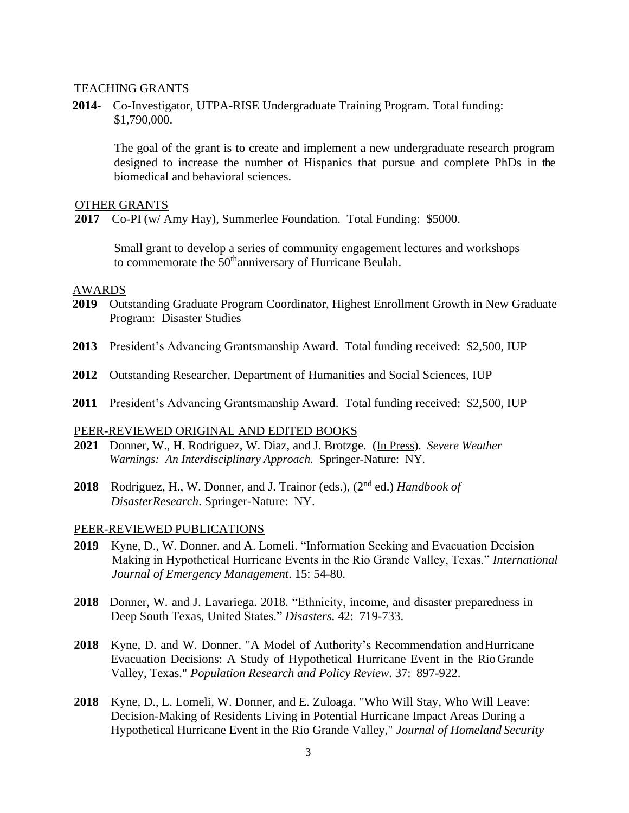## TEACHING GRANTS

**2014-** Co-Investigator, UTPA-RISE Undergraduate Training Program. Total funding: \$1,790,000.

The goal of the grant is to create and implement a new undergraduate research program designed to increase the number of Hispanics that pursue and complete PhDs in the biomedical and behavioral sciences.

## OTHER GRANTS

**2017** Co-PI (w/ Amy Hay), Summerlee Foundation. Total Funding: \$5000.

Small grant to develop a series of community engagement lectures and workshops to commemorate the 50<sup>th</sup>anniversary of Hurricane Beulah.

#### AWARDS

- **2019** Outstanding Graduate Program Coordinator, Highest Enrollment Growth in New Graduate Program: Disaster Studies
- **2013** President's Advancing Grantsmanship Award. Total funding received: \$2,500, IUP
- **2012** Outstanding Researcher, Department of Humanities and Social Sciences, IUP
- **2011** President's Advancing Grantsmanship Award. Total funding received: \$2,500, IUP

#### PEER-REVIEWED ORIGINAL AND EDITED BOOKS

- **2021** Donner, W., H. Rodriguez, W. Diaz, and J. Brotzge. (In Press). *Severe Weather Warnings: An Interdisciplinary Approach.* Springer-Nature: NY.
- **2018** Rodriguez, H., W. Donner, and J. Trainor (eds.), (2nd ed.) *Handbook of DisasterResearch*. Springer-Nature: NY.

#### PEER-REVIEWED PUBLICATIONS

- **2019** Kyne, D., W. Donner. and A. Lomeli. "Information Seeking and Evacuation Decision Making in Hypothetical Hurricane Events in the Rio Grande Valley, Texas." *International Journal of Emergency Management*. 15: 54-80.
- **2018** Donner, W. and J. Lavariega. 2018. "Ethnicity, income, and disaster preparedness in Deep South Texas, United States." *Disasters*. 42: 719-733.
- **2018** Kyne, D. and W. Donner. "A Model of Authority's Recommendation and Hurricane Evacuation Decisions: A Study of Hypothetical Hurricane Event in the Rio Grande Valley, Texas." *Population Research and Policy Review*. 37: 897-922.
- **2018** Kyne, D., L. Lomeli, W. Donner, and E. Zuloaga. "Who Will Stay, Who Will Leave: Decision-Making of Residents Living in Potential Hurricane Impact Areas During a Hypothetical Hurricane Event in the Rio Grande Valley," *Journal of Homeland Security*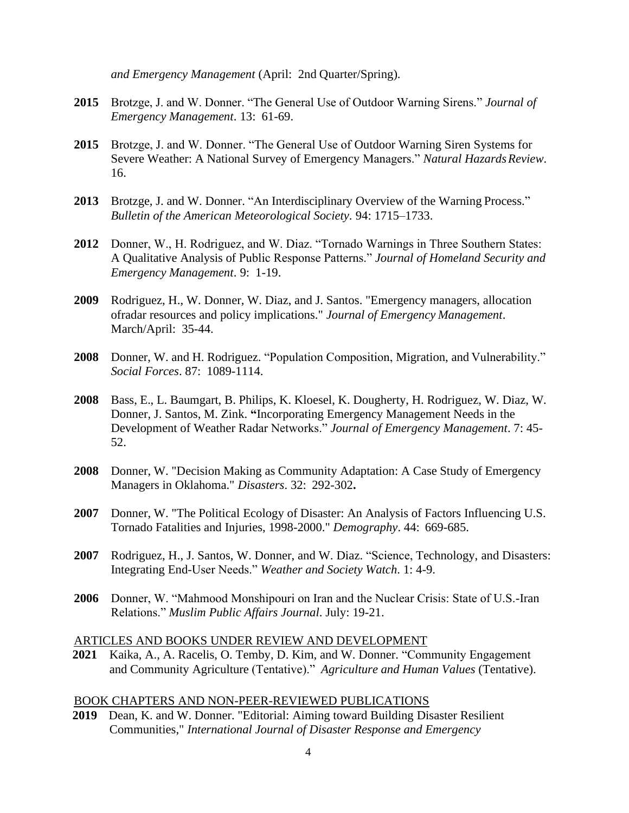*and Emergency Management* (April: 2nd Quarter/Spring).

- **2015** Brotzge, J. and W. Donner. "The General Use of Outdoor Warning Sirens." *Journal of Emergency Management*. 13: 61-69.
- **2015** Brotzge, J. and W. Donner. "The General Use of Outdoor Warning Siren Systems for Severe Weather: A National Survey of Emergency Managers." *Natural Hazards Review*. 16.
- **2013** Brotzge, J. and W. Donner. "An Interdisciplinary Overview of the Warning Process." *Bulletin of the American Meteorological Society*. 94: 1715–1733.
- **2012** Donner, W., H. Rodriguez, and W. Diaz. "Tornado Warnings in Three Southern States: A Qualitative Analysis of Public Response Patterns." *Journal of Homeland Security and Emergency Management*. 9: 1-19.
- **2009** Rodriguez, H., W. Donner, W. Diaz, and J. Santos. "Emergency managers, allocation ofradar resources and policy implications." *Journal of Emergency Management*. March/April: 35-44.
- **2008** Donner, W. and H. Rodriguez. "Population Composition, Migration, and Vulnerability." *Social Forces*. 87: 1089-1114.
- **2008** Bass, E., L. Baumgart, B. Philips, K. Kloesel, K. Dougherty, H. Rodriguez, W. Diaz, W. Donner, J. Santos, M. Zink. **"**Incorporating Emergency Management Needs in the Development of Weather Radar Networks." *Journal of Emergency Management*. 7: 45- 52.
- **2008** Donner, W. "Decision Making as Community Adaptation: A Case Study of Emergency Managers in Oklahoma." *Disasters*. 32: 292-302**.**
- **2007** Donner, W. "The Political Ecology of Disaster: An Analysis of Factors Influencing U.S. Tornado Fatalities and Injuries, 1998-2000." *Demography*. 44: 669-685.
- **2007** Rodriguez, H., J. Santos, W. Donner, and W. Diaz. "Science, Technology, and Disasters: Integrating End-User Needs." *Weather and Society Watch*. 1: 4-9.
- **2006** Donner, W. "Mahmood Monshipouri on Iran and the Nuclear Crisis: State of U.S.-Iran Relations." *Muslim Public Affairs Journal*. July: 19-21.

# ARTICLES AND BOOKS UNDER REVIEW AND DEVELOPMENT

**2021** Kaika, A., A. Racelis, O. Temby, D. Kim, and W. Donner. "Community Engagement and Community Agriculture (Tentative)." *Agriculture and Human Values* (Tentative).

## BOOK CHAPTERS AND NON-PEER-REVIEWED PUBLICATIONS

**2019** Dean, K. and W. Donner. "Editorial: Aiming toward Building Disaster Resilient Communities," *International Journal of Disaster Response and Emergency*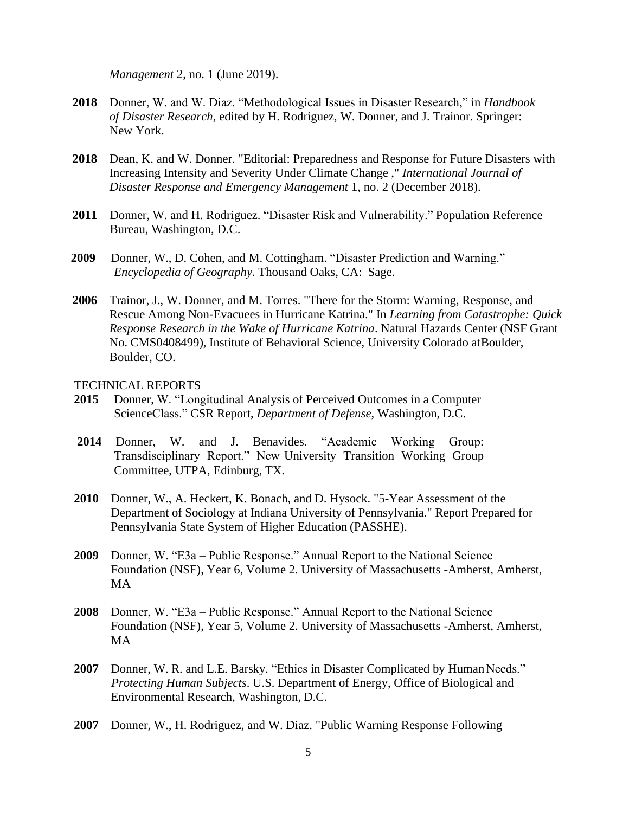*Management* 2, no. 1 (June 2019).

- **2018** Donner, W. and W. Diaz. "Methodological Issues in Disaster Research," in *Handbook of Disaster Research*, edited by H. Rodriguez, W. Donner, and J. Trainor. Springer: New York.
- **2018** Dean, K. and W. Donner. "Editorial: Preparedness and Response for Future Disasters with Increasing Intensity and Severity Under Climate Change ," *International Journal of Disaster Response and Emergency Management* 1, no. 2 (December 2018).
- **2011** Donner, W. and H. Rodriguez. "Disaster Risk and Vulnerability." Population Reference Bureau, Washington, D.C.
- **2009** Donner, W., D. Cohen, and M. Cottingham. "Disaster Prediction and Warning." *Encyclopedia of Geography.* Thousand Oaks, CA: Sage.
- **2006** Trainor, J., W. Donner, and M. Torres. "There for the Storm: Warning, Response, and Rescue Among Non-Evacuees in Hurricane Katrina." In *Learning from Catastrophe: Quick Response Research in the Wake of Hurricane Katrina*. Natural Hazards Center (NSF Grant No. CMS0408499), Institute of Behavioral Science, University Colorado atBoulder, Boulder, CO.

#### TECHNICAL REPORTS

- **2015** Donner, W. "Longitudinal Analysis of Perceived Outcomes in a Computer ScienceClass." CSR Report, *Department of Defense*, Washington, D.C.
- **2014** Donner, W. and J. Benavides. "Academic Working Group: Transdisciplinary Report." New University Transition Working Group Committee, UTPA, Edinburg, TX.
- **2010** Donner, W., A. Heckert, K. Bonach, and D. Hysock. "5-Year Assessment of the Department of Sociology at Indiana University of Pennsylvania." Report Prepared for Pennsylvania State System of Higher Education (PASSHE).
- **2009** Donner, W. "E3a Public Response." Annual Report to the National Science Foundation (NSF), Year 6, Volume 2. University of Massachusetts -Amherst, Amherst, MA
- **2008** Donner, W. "E3a Public Response." Annual Report to the National Science Foundation (NSF), Year 5, Volume 2. University of Massachusetts -Amherst, Amherst, MA
- 2007 Donner, W. R. and L.E. Barsky. "Ethics in Disaster Complicated by Human Needs." *Protecting Human Subjects*. U.S. Department of Energy, Office of Biological and Environmental Research, Washington, D.C.
- **2007** Donner, W., H. Rodriguez, and W. Diaz. "Public Warning Response Following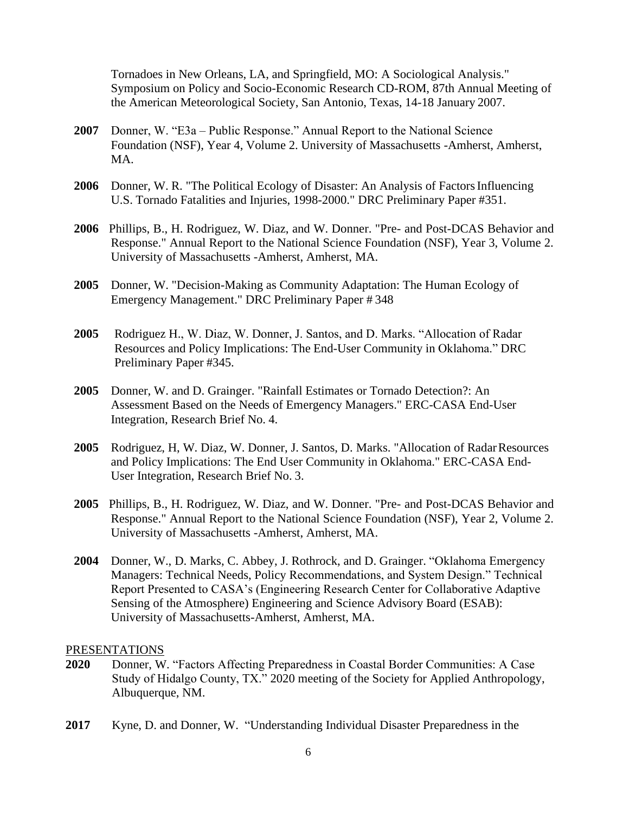Tornadoes in New Orleans, LA, and Springfield, MO: A Sociological Analysis." Symposium on Policy and Socio-Economic Research CD-ROM, 87th Annual Meeting of the American Meteorological Society, San Antonio, Texas, 14-18 January 2007.

- **2007** Donner, W. "E3a Public Response." Annual Report to the National Science Foundation (NSF), Year 4, Volume 2. University of Massachusetts -Amherst, Amherst, MA.
- **2006** Donner, W. R. "The Political Ecology of Disaster: An Analysis of Factors Influencing U.S. Tornado Fatalities and Injuries, 1998-2000." DRC Preliminary Paper #351.
- **2006** Phillips, B., H. Rodriguez, W. Diaz, and W. Donner. "Pre- and Post-DCAS Behavior and Response." Annual Report to the National Science Foundation (NSF), Year 3, Volume 2. University of Massachusetts -Amherst, Amherst, MA.
- **2005** Donner, W. "Decision-Making as Community Adaptation: The Human Ecology of Emergency Management." DRC Preliminary Paper # 348
- **2005** Rodriguez H., W. Diaz, W. Donner, J. Santos, and D. Marks. "Allocation of Radar Resources and Policy Implications: The End-User Community in Oklahoma." DRC Preliminary Paper #345.
- **2005** Donner, W. and D. Grainger. "Rainfall Estimates or Tornado Detection?: An Assessment Based on the Needs of Emergency Managers." ERC-CASA End-User Integration, Research Brief No. 4.
- **2005** Rodriguez, H, W. Diaz, W. Donner, J. Santos, D. Marks. "Allocation of RadarResources and Policy Implications: The End User Community in Oklahoma." ERC-CASA End-User Integration, Research Brief No. 3.
- **2005** Phillips, B., H. Rodriguez, W. Diaz, and W. Donner. "Pre- and Post-DCAS Behavior and Response." Annual Report to the National Science Foundation (NSF), Year 2, Volume 2. University of Massachusetts -Amherst, Amherst, MA.
- **2004** Donner, W., D. Marks, C. Abbey, J. Rothrock, and D. Grainger. "Oklahoma Emergency Managers: Technical Needs, Policy Recommendations, and System Design." Technical Report Presented to CASA's (Engineering Research Center for Collaborative Adaptive Sensing of the Atmosphere) Engineering and Science Advisory Board (ESAB): University of Massachusetts-Amherst, Amherst, MA.

## PRESENTATIONS

- **2020** Donner, W. "Factors Affecting Preparedness in Coastal Border Communities: A Case Study of Hidalgo County, TX." 2020 meeting of the Society for Applied Anthropology, Albuquerque, NM.
- **2017** Kyne, D. and Donner, W. "Understanding Individual Disaster Preparedness in the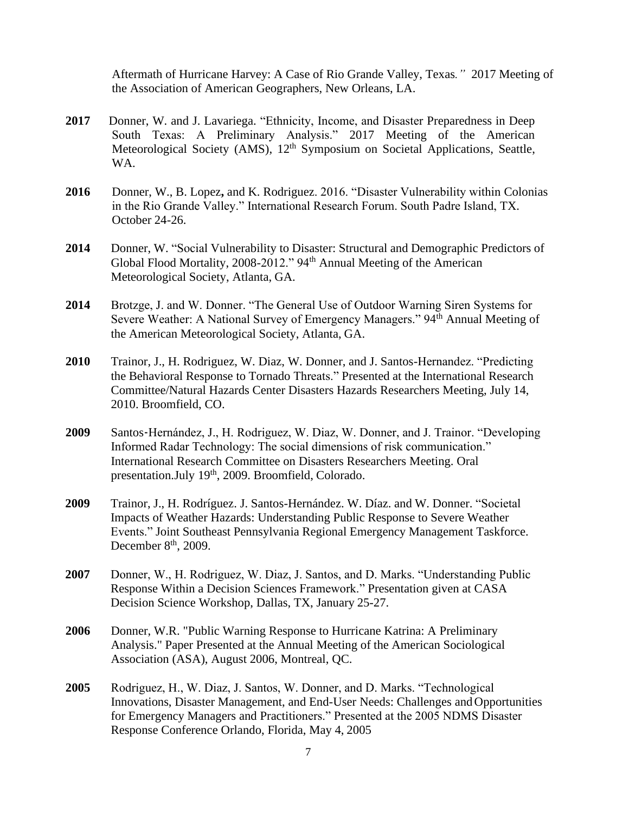Aftermath of Hurricane Harvey: A Case of Rio Grande Valley, Texas*."* 2017 Meeting of the Association of American Geographers, New Orleans, LA.

- 2017 **Donner, W. and J. Lavariega. "Ethnicity, Income, and Disaster Preparedness in Deep** South Texas: A Preliminary Analysis." 2017 Meeting of the American Meteorological Society (AMS), 12<sup>th</sup> Symposium on Societal Applications, Seattle, WA.
- **2016** Donner, W., B. Lopez**,** and K. Rodriguez. 2016. "Disaster Vulnerability within Colonias in the Rio Grande Valley." International Research Forum. South Padre Island, TX. October 24-26.
- **2014** Donner, W. "Social Vulnerability to Disaster: Structural and Demographic Predictors of Global Flood Mortality, 2008-2012." 94<sup>th</sup> Annual Meeting of the American Meteorological Society, Atlanta, GA.
- **2014** Brotzge, J. and W. Donner. "The General Use of Outdoor Warning Siren Systems for Severe Weather: A National Survey of Emergency Managers." 94<sup>th</sup> Annual Meeting of the American Meteorological Society, Atlanta, GA.
- **2010** Trainor, J., H. Rodriguez, W. Diaz, W. Donner, and J. Santos-Hernandez. "Predicting the Behavioral Response to Tornado Threats." Presented at the International Research Committee/Natural Hazards Center Disasters Hazards Researchers Meeting, July 14, 2010. Broomfield, CO.
- **2009** Santos‐Hernández, J., H. Rodriguez, W. Diaz, W. Donner, and J. Trainor. "Developing Informed Radar Technology: The social dimensions of risk communication." International Research Committee on Disasters Researchers Meeting. Oral presentation.July 19<sup>th</sup>, 2009. Broomfield, Colorado.
- **2009** Trainor, J., H. Rodríguez. J. Santos-Hernández. W. Díaz. and W. Donner. "Societal Impacts of Weather Hazards: Understanding Public Response to Severe Weather Events." Joint Southeast Pennsylvania Regional Emergency Management Taskforce. December 8<sup>th</sup>, 2009.
- **2007** Donner, W., H. Rodriguez, W. Diaz, J. Santos, and D. Marks. "Understanding Public Response Within a Decision Sciences Framework." Presentation given at CASA Decision Science Workshop, Dallas, TX, January 25-27.
- **2006** Donner, W.R. "Public Warning Response to Hurricane Katrina: A Preliminary Analysis." Paper Presented at the Annual Meeting of the American Sociological Association (ASA), August 2006, Montreal, QC.
- **2005** Rodriguez, H., W. Diaz, J. Santos, W. Donner, and D. Marks. "Technological Innovations, Disaster Management, and End-User Needs: Challenges and Opportunities for Emergency Managers and Practitioners." Presented at the 2005 NDMS Disaster Response Conference Orlando, Florida, May 4, 2005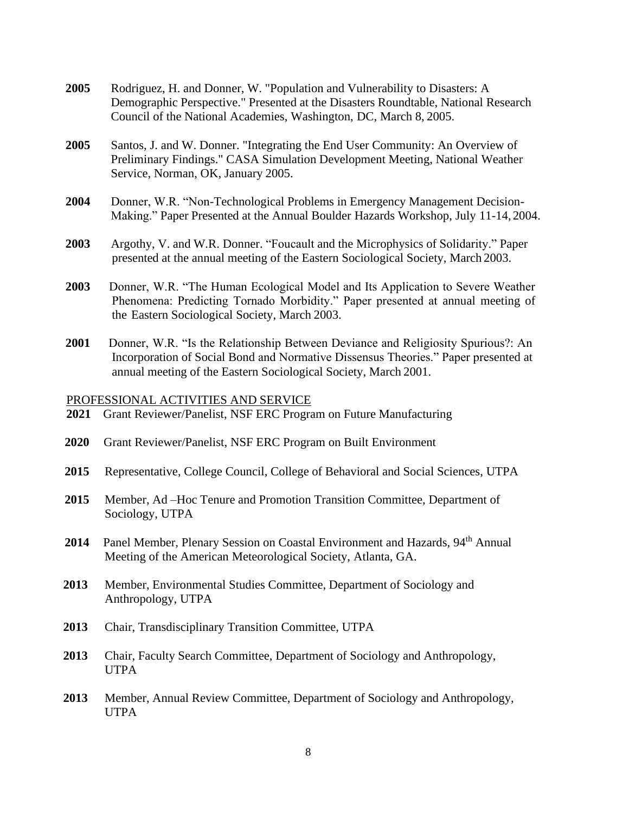- **2005** Rodriguez, H. and Donner, W. "Population and Vulnerability to Disasters: A Demographic Perspective." Presented at the Disasters Roundtable, National Research Council of the National Academies, Washington, DC, March 8, 2005.
- **2005** Santos, J. and W. Donner. "Integrating the End User Community: An Overview of Preliminary Findings." CASA Simulation Development Meeting, National Weather Service, Norman, OK, January 2005.
- **2004** Donner, W.R. "Non-Technological Problems in Emergency Management Decision-Making." Paper Presented at the Annual Boulder Hazards Workshop, July 11-14, 2004.
- **2003** Argothy, V. and W.R. Donner. "Foucault and the Microphysics of Solidarity." Paper presented at the annual meeting of the Eastern Sociological Society, March 2003.
- **2003** Donner, W.R. "The Human Ecological Model and Its Application to Severe Weather Phenomena: Predicting Tornado Morbidity." Paper presented at annual meeting of the Eastern Sociological Society, March 2003.
- **2001** Donner, W.R. "Is the Relationship Between Deviance and Religiosity Spurious?: An Incorporation of Social Bond and Normative Dissensus Theories." Paper presented at annual meeting of the Eastern Sociological Society, March 2001.

#### PROFESSIONAL ACTIVITIES AND SERVICE

- **2021** Grant Reviewer/Panelist, NSF ERC Program on Future Manufacturing
- **2020** Grant Reviewer/Panelist, NSF ERC Program on Built Environment
- **2015** Representative, College Council, College of Behavioral and Social Sciences, UTPA
- **2015** Member, Ad –Hoc Tenure and Promotion Transition Committee, Department of Sociology, UTPA
- 2014 Panel Member, Plenary Session on Coastal Environment and Hazards, 94<sup>th</sup> Annual Meeting of the American Meteorological Society, Atlanta, GA.
- **2013** Member, Environmental Studies Committee, Department of Sociology and Anthropology, UTPA
- **2013** Chair, Transdisciplinary Transition Committee, UTPA
- **2013** Chair, Faculty Search Committee, Department of Sociology and Anthropology, **UTPA**
- **2013** Member, Annual Review Committee, Department of Sociology and Anthropology, UTPA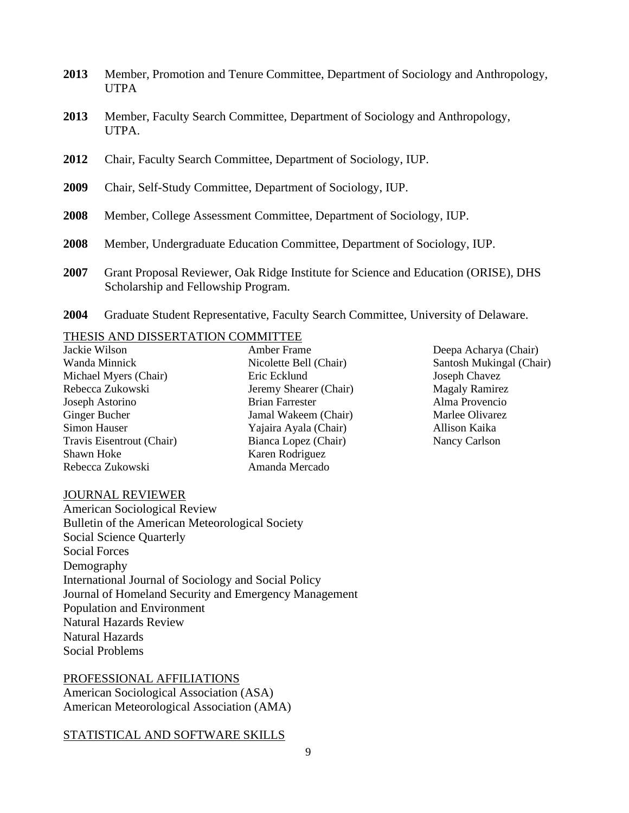- **2013** Member, Promotion and Tenure Committee, Department of Sociology and Anthropology, UTPA
- **2013** Member, Faculty Search Committee, Department of Sociology and Anthropology, UTPA.
- **2012** Chair, Faculty Search Committee, Department of Sociology, IUP.
- **2009** Chair, Self-Study Committee, Department of Sociology, IUP.
- **2008** Member, College Assessment Committee, Department of Sociology, IUP.
- **2008** Member, Undergraduate Education Committee, Department of Sociology, IUP.
- **2007** Grant Proposal Reviewer, Oak Ridge Institute for Science and Education (ORISE), DHS Scholarship and Fellowship Program.
- **2004** Graduate Student Representative, Faculty Search Committee, University of Delaware.

## THESIS AND DISSERTATION COMMITTEE

| Jackie Wilson             |
|---------------------------|
| Wanda Minnick             |
| Michael Myers (Chair)     |
| Rebecca Zukowski          |
| Joseph Astorino           |
| <b>Ginger Bucher</b>      |
| Simon Hauser              |
| Travis Eisentrout (Chair) |
| Shawn Hoke                |
| Rebecca Zukowski          |

Amber Frame Nicolette Bell (Chair) Eric Ecklund Jeremy Shearer (Chair) Brian Farrester Jamal Wakeem (Chair) Yajaira Ayala (Chair) Bianca Lopez (Chair) Karen Rodriguez Amanda Mercado

## Deepa Acharya (Chair) Santosh Mukingal (Chair) Joseph Chavez Magaly Ramirez Alma Provencio Marlee Olivarez Allison Kaika Nancy Carlson

#### JOURNAL REVIEWER

American Sociological Review Bulletin of the American Meteorological Society Social Science Quarterly Social Forces Demography International Journal of Sociology and Social Policy Journal of Homeland Security and Emergency Management Population and Environment Natural Hazards Review Natural Hazards Social Problems

# PROFESSIONAL AFFILIATIONS American Sociological Association (ASA) American Meteorological Association (AMA)

## STATISTICAL AND SOFTWARE SKILLS